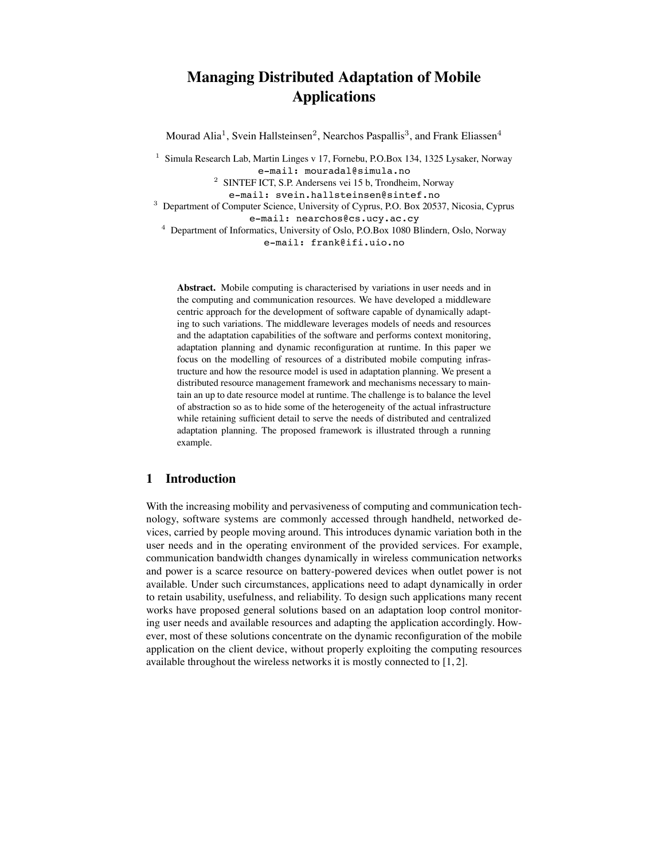# **Managing Distributed Adaptation of Mobile Applications**

Mourad Alia<sup>1</sup>, Svein Hallsteinsen<sup>2</sup>, Nearchos Paspallis<sup>3</sup>, and Frank Eliassen<sup>4</sup>

<sup>1</sup> Simula Research Lab, Martin Linges v 17, Fornebu, P.O.Box 134, 1325 Lysaker, Norway

e-mail: mouradal@simula.no <sup>2</sup> SINTEF ICT, S.P. Andersens vei <sup>15</sup> b, Trondheim, Norway

e-mail: svein.hallsteinsen@sintef.no<br>3 Department of Computer Science, University of Cyprus, P.O. Box 20537, Nicosia, Cyprus e-mail: nearchos@cs.ucy.ac.cy<br>4 Department of Informatics, University of Oslo, P.O.Box 1080 Blindern, Oslo, Norway

e-mail: frank@ifi.uio.no

**Abstract.** Mobile computing is characterised by variations in user needs and in the computing and communication resources. We have developed a middleware centric approach for the development of software capable of dynamically adapting to such variations. The middleware leverages models of needs and resources and the adaptation capabilities of the software and performs context monitoring, adaptation planning and dynamic reconfiguration at runtime. In this paper we focus on the modelling of resources of a distributed mobile computing infrastructure and how the resource model is used in adaptation planning. We present a distributed resource management framework and mechanisms necessary to maintain an up to date resource model at runtime. The challenge is to balance the level of abstraction so as to hide some of the heterogeneity of the actual infrastructure while retaining sufficient detail to serve the needs of distributed and centralized adaptation planning. The proposed framework is illustrated through a running example.

# **1 Introduction**

With the increasing mobility and pervasiveness of computing and communication technology, software systems are commonly accessed through handheld, networked devices, carried by people moving around. This introduces dynamic variation both in the user needs and in the operating environment of the provided services. For example, communication bandwidth changes dynamically in wireless communication networks and power is a scarce resource on battery-powered devices when outlet power is not available. Under such circumstances, applications need to adapt dynamically in order to retain usability, usefulness, and reliability. To design such applications many recent works have proposed general solutions based on an adaptation loop control monitoring user needs and available resources and adapting the application accordingly. However, most of these solutions concentrate on the dynamic reconfiguration of the mobile application on the client device, without properly exploiting the computing resources available throughout the wireless networks it is mostly connected to [1, 2].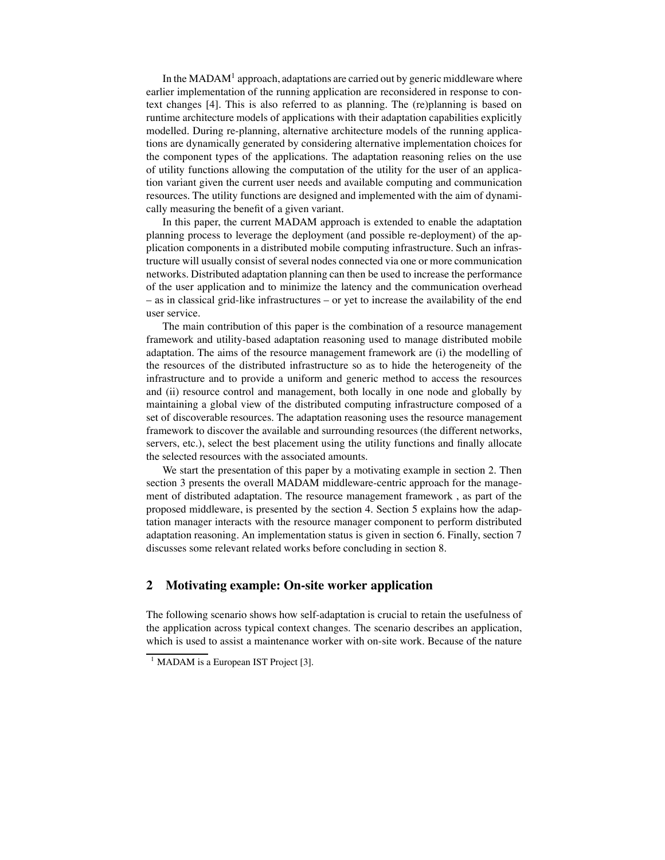In the MADAM<sup>1</sup> approach, adaptations are carried out by generic middleware where earlier implementation of the running application are reconsidered in response to context changes [4]. This is also referred to as planning. The (re)planning is based on runtime architecture models of applications with their adaptation capabilities explicitly modelled. During re-planning, alternative architecture models of the running applications are dynamically generated by considering alternative implementation choices for the component types of the applications. The adaptation reasoning relies on the use of utility functions allowing the computation of the utility for the user of an application variant given the current user needs and available computing and communication resources. The utility functions are designed and implemented with the aim of dynamically measuring the benefit of a given variant.

In this paper, the current MADAM approach is extended to enable the adaptation planning process to leverage the deployment (and possible re-deployment) of the application components in a distributed mobile computing infrastructure. Such an infrastructure will usually consist of several nodes connected via one or more communication networks. Distributed adaptation planning can then be used to increase the performance of the user application and to minimize the latency and the communication overhead – as in classical grid-like infrastructures – or yet to increase the availability of the end user service.

The main contribution of this paper is the combination of a resource management framework and utility-based adaptation reasoning used to manage distributed mobile adaptation. The aims of the resource management framework are (i) the modelling of the resources of the distributed infrastructure so as to hide the heterogeneity of the infrastructure and to provide a uniform and generic method to access the resources and (ii) resource control and management, both locally in one node and globally by maintaining a global view of the distributed computing infrastructure composed of a set of discoverable resources. The adaptation reasoning uses the resource management framework to discover the available and surrounding resources (the different networks, servers, etc.), select the best placement using the utility functions and finally allocate the selected resources with the associated amounts.

We start the presentation of this paper by a motivating example in section 2. Then section 3 presents the overall MADAM middleware-centric approach for the management of distributed adaptation. The resource management framework , as part of the proposed middleware, is presented by the section 4. Section 5 explains how the adaptation manager interacts with the resource manager component to perform distributed adaptation reasoning. An implementation status is given in section 6. Finally, section 7 discusses some relevant related works before concluding in section 8.

# **2 Motivating example: On-site worker application**

The following scenario shows how self-adaptation is crucial to retain the usefulness of the application across typical context changes. The scenario describes an application, which is used to assist a maintenance worker with on-site work. Because of the nature

 $1$  MADAM is a European IST Project [3].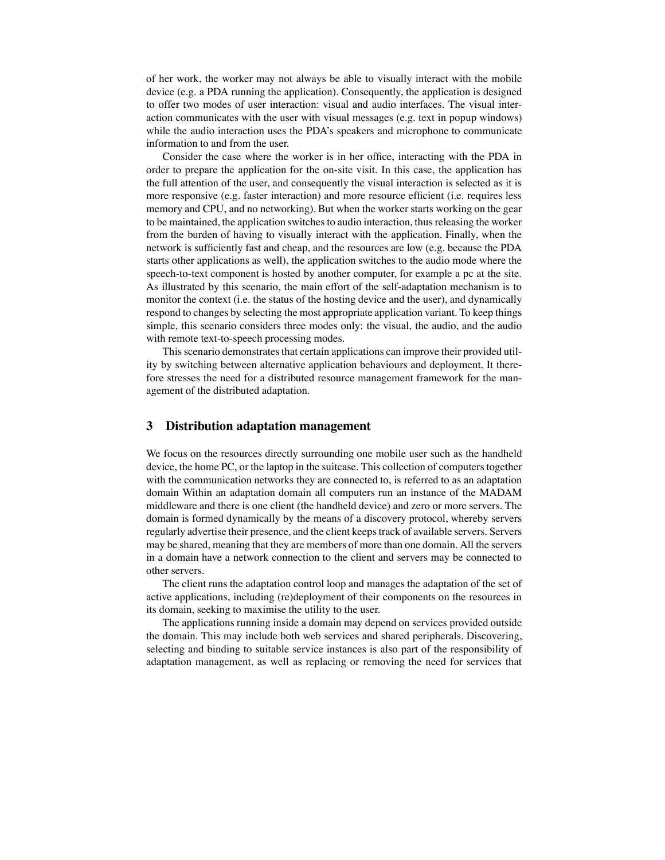of her work, the worker may not always be able to visually interact with the mobile device (e.g. a PDA running the application). Consequently, the application is designed to offer two modes of user interaction: visual and audio interfaces. The visual interaction communicates with the user with visual messages (e.g. text in popup windows) while the audio interaction uses the PDA's speakers and microphone to communicate information to and from the user.

Consider the case where the worker is in her office, interacting with the PDA in order to prepare the application for the on-site visit. In this case, the application has the full attention of the user, and consequently the visual interaction is selected as it is more responsive (e.g. faster interaction) and more resource efficient (i.e. requires less memory and CPU, and no networking). But when the worker starts working on the gear to be maintained, the application switches to audio interaction, thusreleasing the worker from the burden of having to visually interact with the application. Finally, when the network is sufficiently fast and cheap, and the resources are low (e.g. because the PDA starts other applications as well), the application switches to the audio mode where the speech-to-text component is hosted by another computer, for example a pc at the site. As illustrated by this scenario, the main effort of the self-adaptation mechanism is to monitor the context (i.e. the status of the hosting device and the user), and dynamically respond to changes by selecting the most appropriate application variant. To keep things simple, this scenario considers three modes only: the visual, the audio, and the audio with remote text-to-speech processing modes.

This scenario demonstrates that certain applications can improve their provided utility by switching between alternative application behaviours and deployment. It therefore stresses the need for a distributed resource management framework for the management of the distributed adaptation.

# **3 Distribution adaptation management**

We focus on the resources directly surrounding one mobile user such as the handheld device, the home PC, or the laptop in the suitcase. This collection of computers together with the communication networks they are connected to, is referred to as an adaptation domain Within an adaptation domain all computers run an instance of the MADAM middleware and there is one client (the handheld device) and zero or more servers. The domain is formed dynamically by the means of a discovery protocol, whereby servers regularly advertise their presence, and the client keepstrack of available servers. Servers may be shared, meaning that they are members of more than one domain. All the servers in a domain have a network connection to the client and servers may be connected to other servers.

The client runs the adaptation control loop and manages the adaptation of the set of active applications, including (re)deployment of their components on the resources in its domain, seeking to maximise the utility to the user.

The applications running inside a domain may depend on services provided outside the domain. This may include both web services and shared peripherals. Discovering, selecting and binding to suitable service instances is also part of the responsibility of adaptation management, as well as replacing or removing the need for services that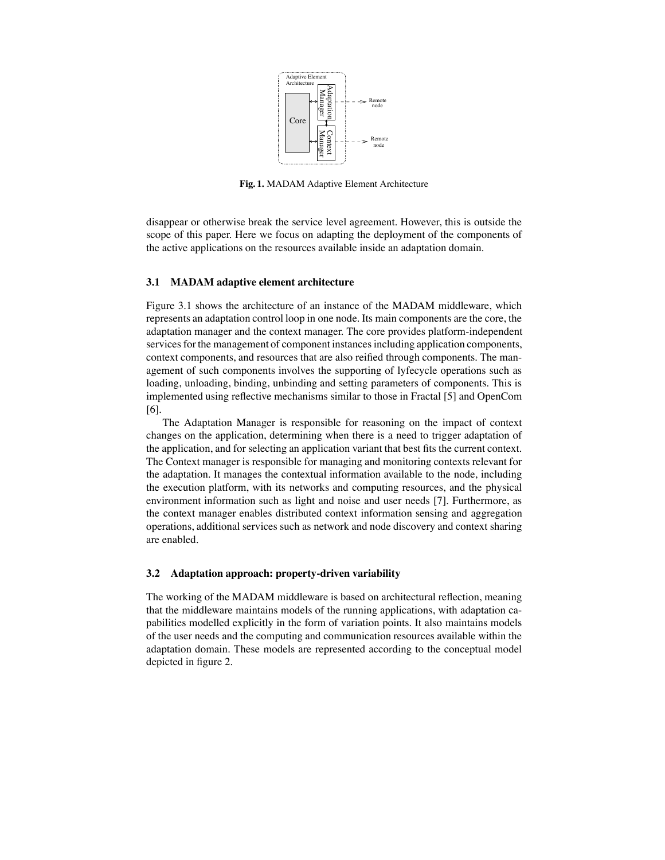

**Fig. 1.** MADAM Adaptive Element Architecture

disappear or otherwise break the service level agreement. However, this is outside the scope of this paper. Here we focus on adapting the deployment of the components of the active applications on the resources available inside an adaptation domain.

#### **3.1 MADAM adaptive element architecture**

Figure 3.1 shows the architecture of an instance of the MADAM middleware, which represents an adaptation control loop in one node. Its main components are the core, the adaptation manager and the context manager. The core provides platform-independent services for the management of component instances including application components, context components, and resources that are also reified through components. The management of such components involves the supporting of lyfecycle operations such as loading, unloading, binding, unbinding and setting parameters of components. This is implemented using reflective mechanisms similar to those in Fractal [5] and OpenCom [6].

The Adaptation Manager is responsible for reasoning on the impact of context changes on the application, determining when there is a need to trigger adaptation of the application, and for selecting an application variant that best fits the current context. The Context manager is responsible for managing and monitoring contexts relevant for the adaptation. It manages the contextual information available to the node, including the execution platform, with its networks and computing resources, and the physical environment information such as light and noise and user needs [7]. Furthermore, as the context manager enables distributed context information sensing and aggregation operations, additional services such as network and node discovery and context sharing are enabled.

#### **3.2 Adaptation approach: property-driven variability**

The working of the MADAM middleware is based on architectural reflection, meaning that the middleware maintains models of the running applications, with adaptation capabilities modelled explicitly in the form of variation points. It also maintains models of the user needs and the computing and communication resources available within the adaptation domain. These models are represented according to the conceptual model depicted in figure 2.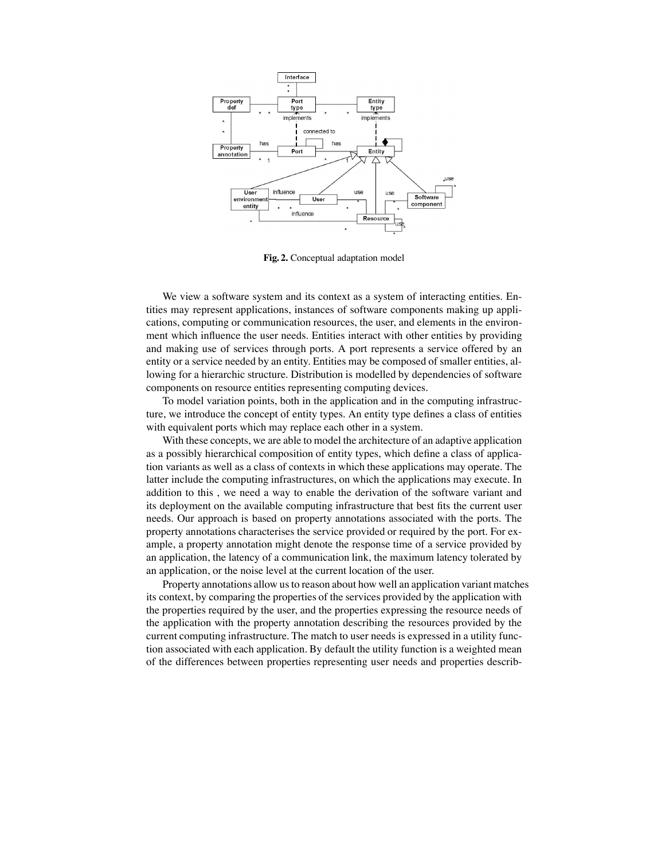

**Fig. 2.** Conceptual adaptation model

We view a software system and its context as a system of interacting entities. Entities may represent applications, instances of software components making up applications, computing or communication resources, the user, and elements in the environment which influence the user needs. Entities interact with other entities by providing and making use of services through ports. A port represents a service offered by an entity or a service needed by an entity. Entities may be composed of smaller entities, allowing for a hierarchic structure. Distribution is modelled by dependencies of software components on resource entities representing computing devices.

To model variation points, both in the application and in the computing infrastructure, we introduce the concept of entity types. An entity type defines a class of entities with equivalent ports which may replace each other in a system.

With these concepts, we are able to model the architecture of an adaptive application as a possibly hierarchical composition of entity types, which define a class of application variants as well as a class of contexts in which these applications may operate. The latter include the computing infrastructures, on which the applications may execute. In addition to this , we need a way to enable the derivation of the software variant and its deployment on the available computing infrastructure that best fits the current user needs. Our approach is based on property annotations associated with the ports. The property annotations characterises the service provided or required by the port. For example, a property annotation might denote the response time of a service provided by an application, the latency of a communication link, the maximum latency tolerated by an application, or the noise level at the current location of the user.

Property annotations allow usto reason about how well an application variant matches its context, by comparing the properties of the services provided by the application with the properties required by the user, and the properties expressing the resource needs of the application with the property annotation describing the resources provided by the current computing infrastructure. The match to user needs is expressed in a utility function associated with each application. By default the utility function is a weighted mean of the differences between properties representing user needs and properties describ-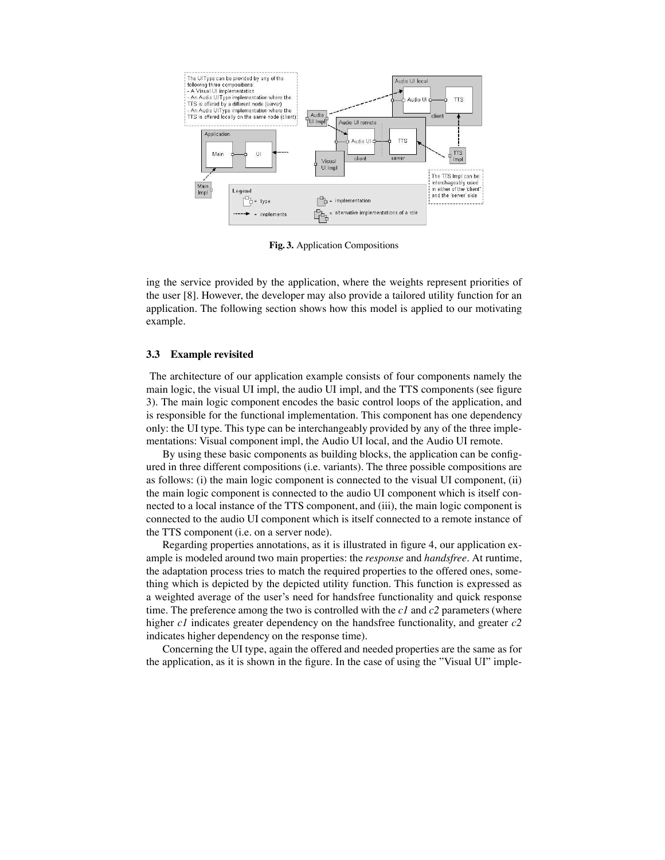

**Fig. 3.** Application Compositions

ing the service provided by the application, where the weights represent priorities of the user [8]. However, the developer may also provide a tailored utility function for an application. The following section shows how this model is applied to our motivating example.

#### **3.3 Example revisited**

The architecture of our application example consists of four components namely the main logic, the visual UI impl, the audio UI impl, and the TTS components (see figure 3). The main logic component encodes the basic control loops of the application, and is responsible for the functional implementation. This component has one dependency only: the UI type. This type can be interchangeably provided by any of the three implementations: Visual component impl, the Audio UI local, and the Audio UI remote.

By using these basic components as building blocks, the application can be configured in three different compositions (i.e. variants). The three possible compositions are as follows: (i) the main logic component is connected to the visual UI component, (ii) the main logic component is connected to the audio UI component which is itself connected to a local instance of the TTS component, and (iii), the main logic component is connected to the audio UI component which is itself connected to a remote instance of the TTS component (i.e. on a server node).

Regarding properties annotations, as it is illustrated in figure 4, our application example is modeled around two main properties: the *response* and *handsfree*. At runtime, the adaptation process tries to match the required properties to the offered ones, something which is depicted by the depicted utility function. This function is expressed as a weighted average of the user's need for handsfree functionality and quick response time. The preference among the two is controlled with the *c1* and *c2* parameters (where higher *c1* indicates greater dependency on the handsfree functionality, and greater *c2* indicates higher dependency on the response time).

Concerning the UI type, again the offered and needed properties are the same as for the application, as it is shown in the figure. In the case of using the "Visual UI" imple-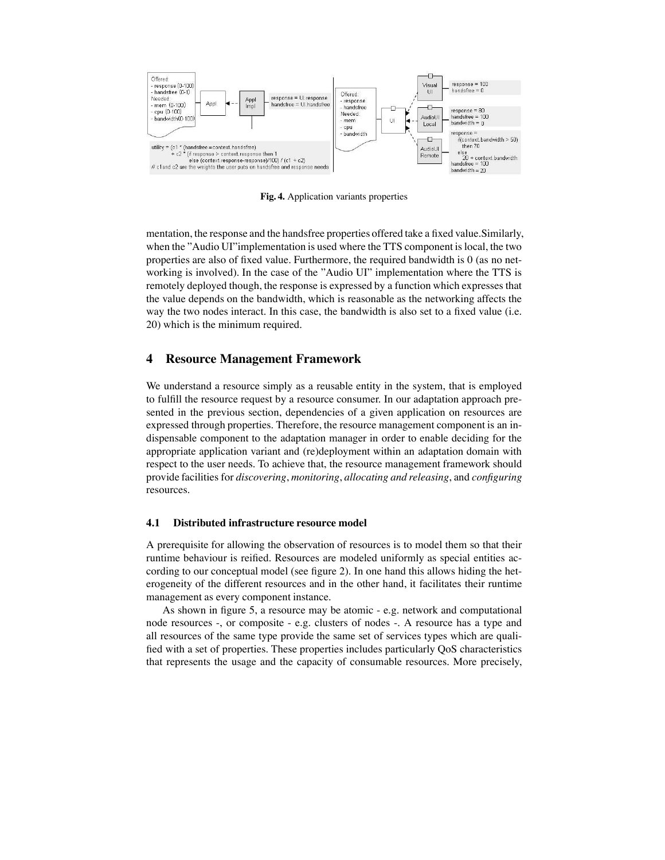

**Fig. 4.** Application variants properties

mentation, the response and the handsfree properties offered take a fixed value.Similarly, when the "Audio UI"implementation is used where the TTS component is local, the two properties are also of fixed value. Furthermore, the required bandwidth is 0 (as no networking is involved). In the case of the "Audio UI" implementation where the TTS is remotely deployed though, the response is expressed by a function which expresses that the value depends on the bandwidth, which is reasonable as the networking affects the way the two nodes interact. In this case, the bandwidth is also set to a fixed value (i.e. 20) which is the minimum required.

# **4 Resource Management Framework**

We understand a resource simply as a reusable entity in the system, that is employed to fulfill the resource request by a resource consumer. In our adaptation approach presented in the previous section, dependencies of a given application on resources are expressed through properties. Therefore, the resource management component is an indispensable component to the adaptation manager in order to enable deciding for the appropriate application variant and (re)deployment within an adaptation domain with respect to the user needs. To achieve that, the resource management framework should provide facilities for *discovering*, *monitoring*, *allocating and releasing*, and *configuring* resources.

#### **4.1 Distributed infrastructure resource model**

A prerequisite for allowing the observation of resources is to model them so that their runtime behaviour is reified. Resources are modeled uniformly as special entities according to our conceptual model (see figure 2). In one hand this allows hiding the heterogeneity of the different resources and in the other hand, it facilitates their runtime management as every component instance.

As shown in figure 5, a resource may be atomic - e.g. network and computational node resources -, or composite - e.g. clusters of nodes -. A resource has a type and all resources of the same type provide the same set of services types which are qualified with a set of properties. These properties includes particularly QoS characteristics that represents the usage and the capacity of consumable resources. More precisely,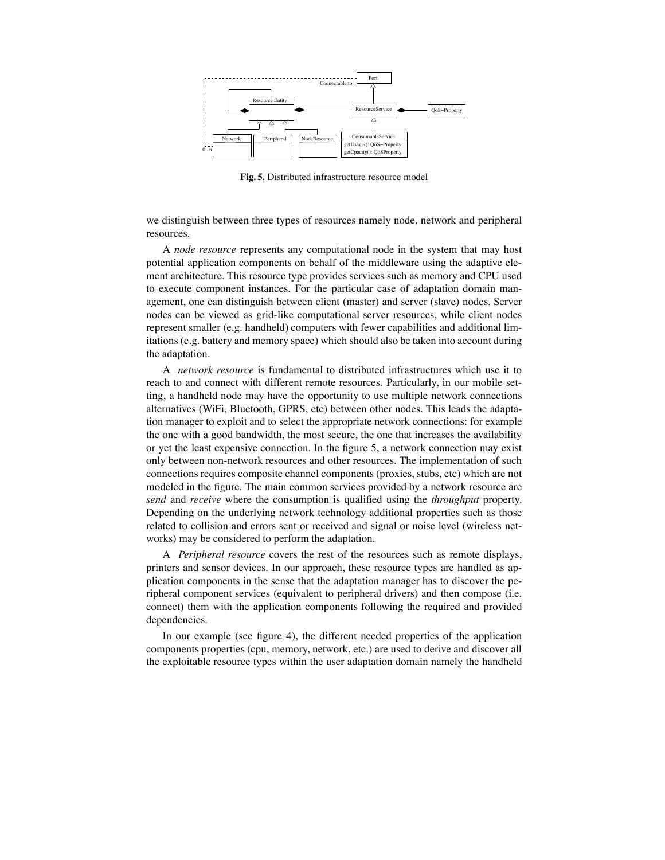

**Fig. 5.** Distributed infrastructure resource model

we distinguish between three types of resources namely node, network and peripheral resources.

A *node resource* represents any computational node in the system that may host potential application components on behalf of the middleware using the adaptive element architecture. This resource type provides services such as memory and CPU used to execute component instances. For the particular case of adaptation domain management, one can distinguish between client (master) and server (slave) nodes. Server nodes can be viewed as grid-like computational server resources, while client nodes represent smaller (e.g. handheld) computers with fewer capabilities and additional limitations (e.g. battery and memory space) which should also be taken into account during the adaptation.

A *network resource* is fundamental to distributed infrastructures which use it to reach to and connect with different remote resources. Particularly, in our mobile setting, a handheld node may have the opportunity to use multiple network connections alternatives (WiFi, Bluetooth, GPRS, etc) between other nodes. This leads the adaptation manager to exploit and to select the appropriate network connections: for example the one with a good bandwidth, the most secure, the one that increases the availability or yet the least expensive connection. In the figure 5, a network connection may exist only between non-network resources and other resources. The implementation of such connections requires composite channel components (proxies, stubs, etc) which are not modeled in the figure. The main common services provided by a network resource are *send* and *receive* where the consumption is qualified using the *throughput* property. Depending on the underlying network technology additional properties such as those related to collision and errors sent or received and signal or noise level (wireless networks) may be considered to perform the adaptation.

A *Peripheral resource* covers the rest of the resources such as remote displays, printers and sensor devices. In our approach, these resource types are handled as application components in the sense that the adaptation manager has to discover the peripheral component services (equivalent to peripheral drivers) and then compose (i.e. connect) them with the application components following the required and provided dependencies.

In our example (see figure 4), the different needed properties of the application components properties (cpu, memory, network, etc.) are used to derive and discover all the exploitable resource types within the user adaptation domain namely the handheld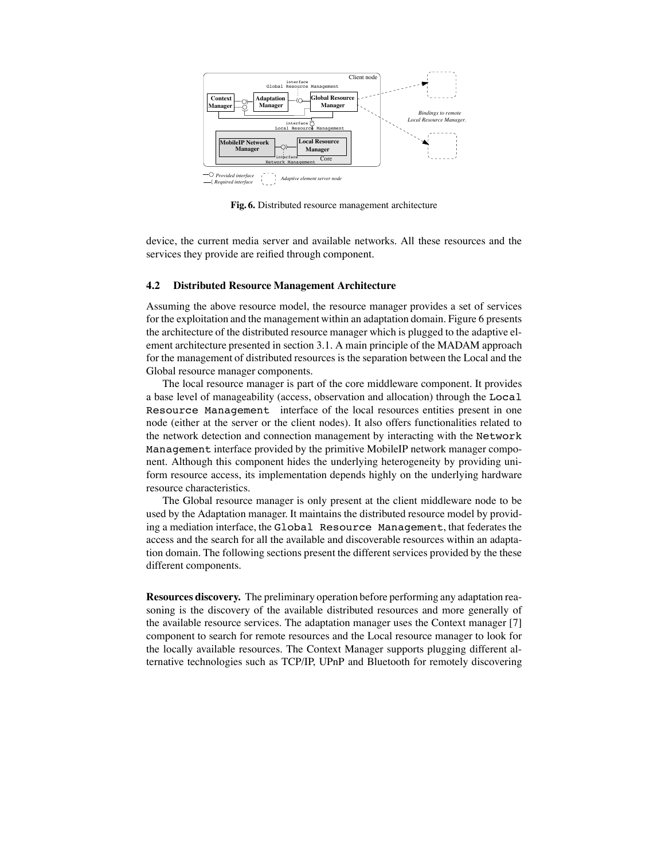

**Fig. 6.** Distributed resource management architecture

device, the current media server and available networks. All these resources and the services they provide are reified through component.

#### **4.2 Distributed Resource Management Architecture**

Assuming the above resource model, the resource manager provides a set of services for the exploitation and the management within an adaptation domain. Figure 6 presents the architecture of the distributed resource manager which is plugged to the adaptive element architecture presented in section 3.1. A main principle of the MADAM approach for the management of distributed resources is the separation between the Local and the Global resource manager components.

The local resource manager is part of the core middleware component. It provides a base level of manageability (access, observation and allocation) through the Local Resource Management interface of the local resources entities present in one node (either at the server or the client nodes). It also offers functionalities related to the network detection and connection management by interacting with the Network Management interface provided by the primitive MobileIP network manager component. Although this component hides the underlying heterogeneity by providing uniform resource access, its implementation depends highly on the underlying hardware resource characteristics.

The Global resource manager is only present at the client middleware node to be used by the Adaptation manager. It maintains the distributed resource model by providing a mediation interface, the Global Resource Management, that federates the access and the search for all the available and discoverable resources within an adaptation domain. The following sections present the different services provided by the these different components.

**Resources discovery.** The preliminary operation before performing any adaptation reasoning is the discovery of the available distributed resources and more generally of the available resource services. The adaptation manager uses the Context manager [7] component to search for remote resources and the Local resource manager to look for the locally available resources. The Context Manager supports plugging different alternative technologies such as TCP/IP, UPnP and Bluetooth for remotely discovering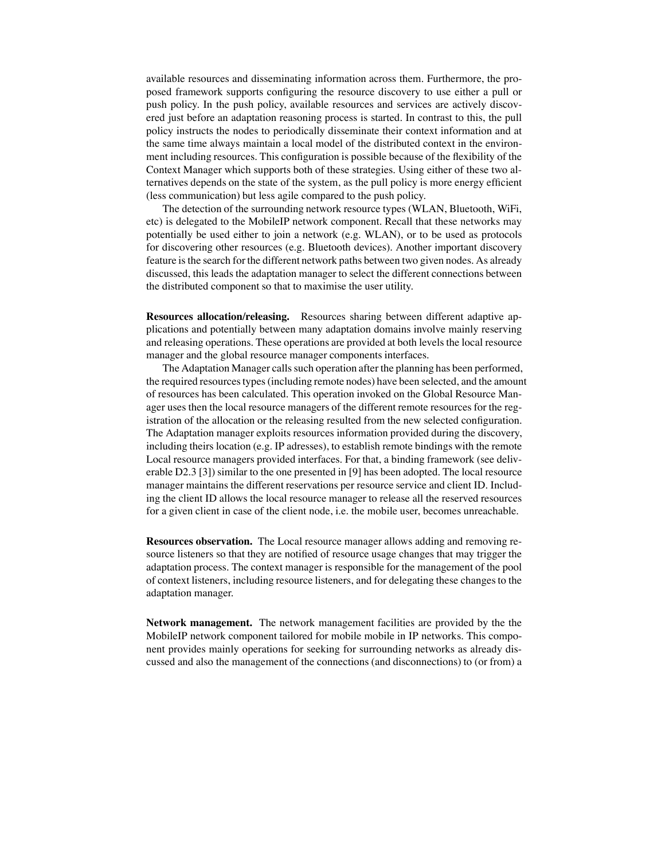available resources and disseminating information across them. Furthermore, the proposed framework supports configuring the resource discovery to use either a pull or push policy. In the push policy, available resources and services are actively discovered just before an adaptation reasoning process is started. In contrast to this, the pull policy instructs the nodes to periodically disseminate their context information and at the same time always maintain a local model of the distributed context in the environment including resources. This configuration is possible because of the flexibility of the Context Manager which supports both of these strategies. Using either of these two alternatives depends on the state of the system, as the pull policy is more energy efficient (less communication) but less agile compared to the push policy.

The detection of the surrounding network resource types (WLAN, Bluetooth, WiFi, etc) is delegated to the MobileIP network component. Recall that these networks may potentially be used either to join a network (e.g. WLAN), or to be used as protocols for discovering other resources (e.g. Bluetooth devices). Another important discovery feature is the search for the different network paths between two given nodes. As already discussed, this leads the adaptation manager to select the different connections between the distributed component so that to maximise the user utility.

**Resources allocation/releasing.** Resources sharing between different adaptive applications and potentially between many adaptation domains involve mainly reserving and releasing operations. These operations are provided at both levels the local resource manager and the global resource manager components interfaces.

The Adaptation Manager calls such operation after the planning has been performed, the required resourcestypes(including remote nodes) have been selected, and the amount of resources has been calculated. This operation invoked on the Global Resource Manager uses then the local resource managers of the different remote resources for the registration of the allocation or the releasing resulted from the new selected configuration. The Adaptation manager exploits resources information provided during the discovery, including theirs location (e.g. IP adresses), to establish remote bindings with the remote Local resource managers provided interfaces. For that, a binding framework (see deliverable D2.3 [3]) similar to the one presented in [9] has been adopted. The local resource manager maintains the different reservations per resource service and client ID. Including the client ID allows the local resource manager to release all the reserved resources for a given client in case of the client node, i.e. the mobile user, becomes unreachable.

**Resources observation.** The Local resource manager allows adding and removing resource listeners so that they are notified of resource usage changes that may trigger the adaptation process. The context manager is responsible for the management of the pool of context listeners, including resource listeners, and for delegating these changesto the adaptation manager.

**Network management.** The network management facilities are provided by the the MobileIP network component tailored for mobile mobile in IP networks. This component provides mainly operations for seeking for surrounding networks as already discussed and also the management of the connections (and disconnections) to (or from) a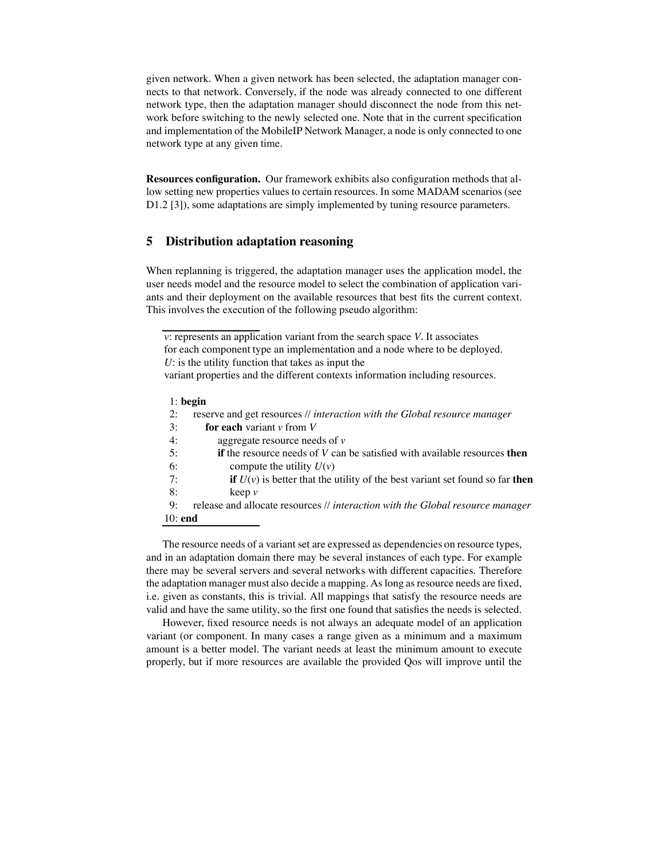given network. When a given network has been selected, the adaptation manager connects to that network. Conversely, if the node was already connected to one different network type, then the adaptation manager should disconnect the node from this network before switching to the newly selected one. Note that in the current specification and implementation of the MobileIP Network Manager, a node is only connected to one network type at any given time.

**Resources configuration.** Our framework exhibits also configuration methods that allow setting new properties values to certain resources. In some MADAM scenarios (see D1.2 [3]), some adaptations are simply implemented by tuning resource parameters.

# **5 Distribution adaptation reasoning**

When replanning is triggered, the adaptation manager uses the application model, the user needs model and the resource model to select the combination of application variants and their deployment on the available resources that best fits the current context. This involves the execution of the following pseudo algorithm:

*v*: represents an application variant from the search space *V*. It associates for each component type an implementation and a node where to be deployed. *U*: is the utility function that takes as input the

variant properties and the different contexts information including resources.

#### 1: **begin**

| 2:        | reserve and get resources // interaction with the Global resource manager                    |
|-----------|----------------------------------------------------------------------------------------------|
| 3:        | <b>for each</b> variant $\nu$ from V                                                         |
| 4:        | aggregate resource needs of $\nu$                                                            |
| 5:        | if the resource needs of $V$ can be satisfied with available resources then                  |
| 6:        | compute the utility $U(v)$                                                                   |
| 7:        | <b>if</b> $U(v)$ is better that the utility of the best variant set found so far <b>then</b> |
| 8:        | keep $\nu$                                                                                   |
| 9:        | release and allocate resources // interaction with the Global resource manager               |
| $10:$ end |                                                                                              |
|           |                                                                                              |

The resource needs of a variant set are expressed as dependencies on resource types, and in an adaptation domain there may be several instances of each type. For example there may be several servers and several networks with different capacities. Therefore the adaptation manager must also decide a mapping. As long as resource needs are fixed, i.e. given as constants, this is trivial. All mappings that satisfy the resource needs are valid and have the same utility, so the first one found that satisfies the needs is selected.

However, fixed resource needs is not always an adequate model of an application variant (or component. In many cases a range given as a minimum and a maximum amount is a better model. The variant needs at least the minimum amount to execute properly, but if more resources are available the provided Qos will improve until the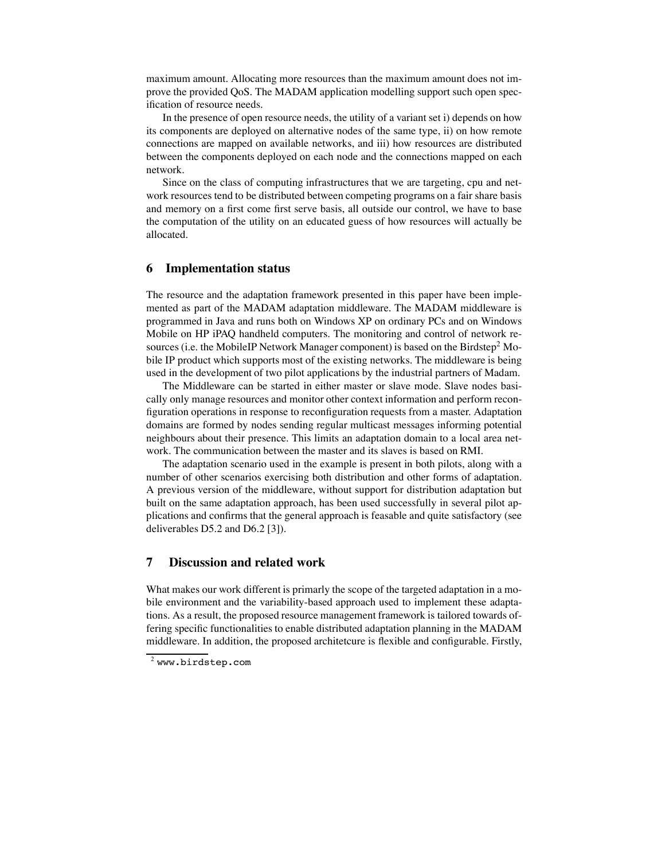maximum amount. Allocating more resources than the maximum amount does not improve the provided QoS. The MADAM application modelling support such open specification of resource needs.

In the presence of open resource needs, the utility of a variant set i) depends on how its components are deployed on alternative nodes of the same type, ii) on how remote connections are mapped on available networks, and iii) how resources are distributed between the components deployed on each node and the connections mapped on each network.

Since on the class of computing infrastructures that we are targeting, cpu and network resources tend to be distributed between competing programs on a fair share basis and memory on a first come first serve basis, all outside our control, we have to base the computation of the utility on an educated guess of how resources will actually be allocated.

## **6 Implementation status**

The resource and the adaptation framework presented in this paper have been implemented as part of the MADAM adaptation middleware. The MADAM middleware is programmed in Java and runs both on Windows XP on ordinary PCs and on Windows Mobile on HP iPAQ handheld computers. The monitoring and control of network resources (i.e. the MobileIP Network Manager component) is based on the Birdstep<sup>2</sup> Mobile IP product which supports most of the existing networks. The middleware is being used in the development of two pilot applications by the industrial partners of Madam.

The Middleware can be started in either master or slave mode. Slave nodes basically only manage resources and monitor other context information and perform reconfiguration operations in response to reconfiguration requests from a master. Adaptation domains are formed by nodes sending regular multicast messages informing potential neighbours about their presence. This limits an adaptation domain to a local area network. The communication between the master and its slaves is based on RMI.

The adaptation scenario used in the example is present in both pilots, along with a number of other scenarios exercising both distribution and other forms of adaptation. A previous version of the middleware, without support for distribution adaptation but built on the same adaptation approach, has been used successfully in several pilot applications and confirms that the general approach is feasable and quite satisfactory (see deliverables D5.2 and D6.2 [3]).

# **7 Discussion and related work**

What makes our work different is primarly the scope of the targeted adaptation in a mobile environment and the variability-based approach used to implement these adaptations. As a result, the proposed resource management framework is tailored towards offering specific functionalities to enable distributed adaptation planning in the MADAM middleware. In addition, the proposed architetcure is flexible and configurable. Firstly,

<sup>2</sup> www.birdstep.com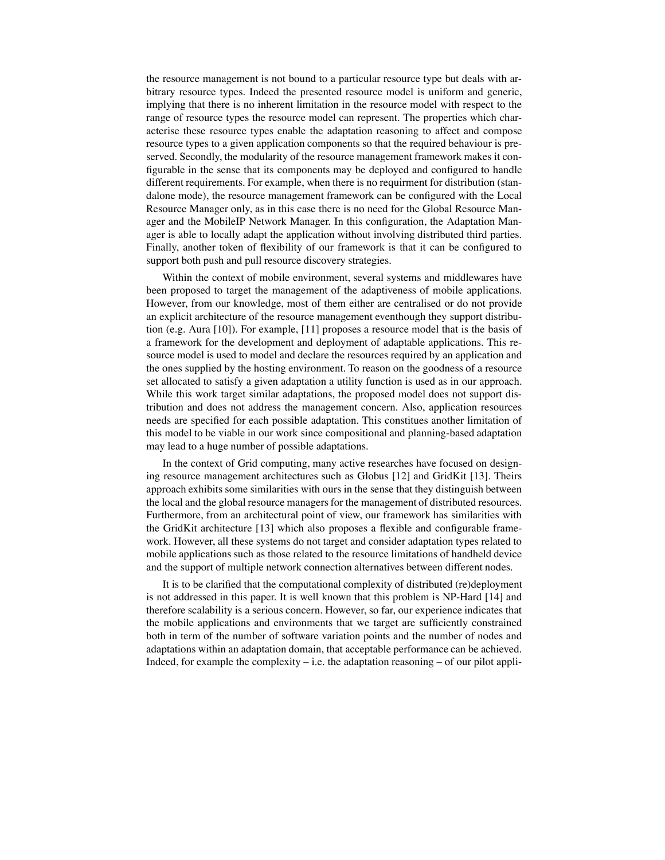the resource management is not bound to a particular resource type but deals with arbitrary resource types. Indeed the presented resource model is uniform and generic, implying that there is no inherent limitation in the resource model with respect to the range of resource types the resource model can represent. The properties which characterise these resource types enable the adaptation reasoning to affect and compose resource types to a given application components so that the required behaviour is preserved. Secondly, the modularity of the resource management framework makes it configurable in the sense that its components may be deployed and configured to handle different requirements. For example, when there is no requirment for distribution (standalone mode), the resource management framework can be configured with the Local Resource Manager only, as in this case there is no need for the Global Resource Manager and the MobileIP Network Manager. In this configuration, the Adaptation Manager is able to locally adapt the application without involving distributed third parties. Finally, another token of flexibility of our framework is that it can be configured to support both push and pull resource discovery strategies.

Within the context of mobile environment, several systems and middlewares have been proposed to target the management of the adaptiveness of mobile applications. However, from our knowledge, most of them either are centralised or do not provide an explicit architecture of the resource management eventhough they support distribution (e.g. Aura [10]). For example, [11] proposes a resource model that is the basis of a framework for the development and deployment of adaptable applications. This resource model is used to model and declare the resources required by an application and the ones supplied by the hosting environment. To reason on the goodness of a resource set allocated to satisfy a given adaptation a utility function is used as in our approach. While this work target similar adaptations, the proposed model does not support distribution and does not address the management concern. Also, application resources needs are specified for each possible adaptation. This constitues another limitation of this model to be viable in our work since compositional and planning-based adaptation may lead to a huge number of possible adaptations.

In the context of Grid computing, many active researches have focused on designing resource management architectures such as Globus [12] and GridKit [13]. Theirs approach exhibits some similarities with ours in the sense that they distinguish between the local and the global resource managersfor the management of distributed resources. Furthermore, from an architectural point of view, our framework has similarities with the GridKit architecture [13] which also proposes a flexible and configurable framework. However, all these systems do not target and consider adaptation types related to mobile applications such as those related to the resource limitations of handheld device and the support of multiple network connection alternatives between different nodes.

It is to be clarified that the computational complexity of distributed (re)deployment is not addressed in this paper. It is well known that this problem is NP-Hard [14] and therefore scalability is a serious concern. However, so far, our experience indicates that the mobile applications and environments that we target are sufficiently constrained both in term of the number of software variation points and the number of nodes and adaptations within an adaptation domain, that acceptable performance can be achieved. Indeed, for example the complexity  $-$  i.e. the adaptation reasoning  $-$  of our pilot appli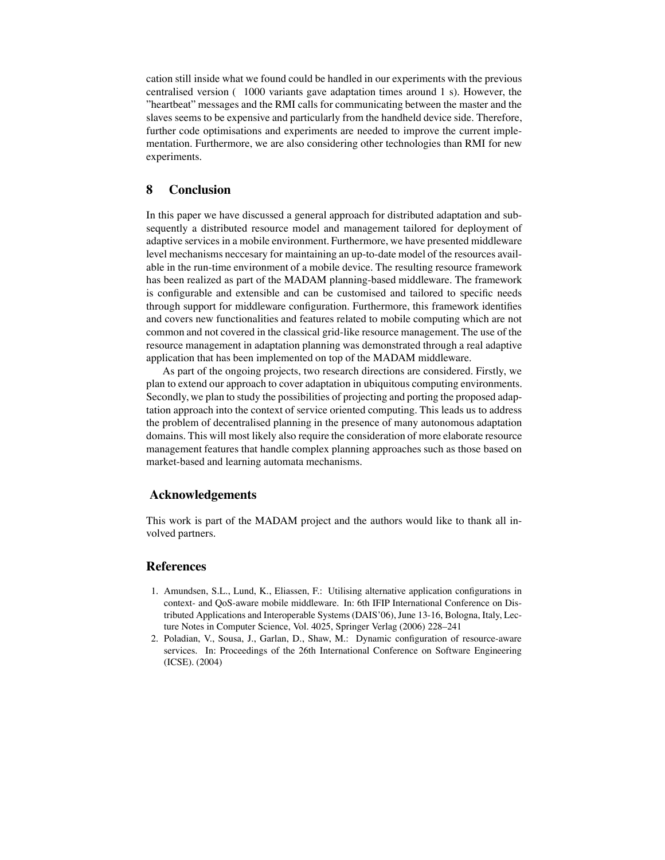cation still inside what we found could be handled in our experiments with the previous centralised version ( 1000 variants gave adaptation times around 1 s). However, the "heartbeat" messages and the RMI calls for communicating between the master and the slaves seems to be expensive and particularly from the handheld device side. Therefore, further code optimisations and experiments are needed to improve the current implementation. Furthermore, we are also considering other technologies than RMI for new experiments.

# **8 Conclusion**

In this paper we have discussed a general approach for distributed adaptation and subsequently a distributed resource model and management tailored for deployment of adaptive services in a mobile environment. Furthermore, we have presented middleware level mechanisms neccesary for maintaining an up-to-date model of the resources available in the run-time environment of a mobile device. The resulting resource framework has been realized as part of the MADAM planning-based middleware. The framework is configurable and extensible and can be customised and tailored to specific needs through support for middleware configuration. Furthermore, this framework identifies and covers new functionalities and features related to mobile computing which are not common and not covered in the classical grid-like resource management. The use of the resource management in adaptation planning was demonstrated through a real adaptive application that has been implemented on top of the MADAM middleware.

As part of the ongoing projects, two research directions are considered. Firstly, we plan to extend our approach to cover adaptation in ubiquitous computing environments. Secondly, we plan to study the possibilities of projecting and porting the proposed adaptation approach into the context of service oriented computing. This leads us to address the problem of decentralised planning in the presence of many autonomous adaptation domains. This will most likely also require the consideration of more elaborate resource management features that handle complex planning approaches such as those based on market-based and learning automata mechanisms.

# **Acknowledgements**

This work is part of the MADAM project and the authors would like to thank all involved partners.

### **References**

- 1. Amundsen, S.L., Lund, K., Eliassen, F.: Utilising alternative application configurations in context- and QoS-aware mobile middleware. In: 6th IFIP International Conference on Distributed Applications and Interoperable Systems (DAIS'06), June 13-16, Bologna, Italy, Lecture Notes in Computer Science, Vol. 4025, Springer Verlag (2006) 228–241
- 2. Poladian, V., Sousa, J., Garlan, D., Shaw, M.: Dynamic configuration of resource-aware services. In: Proceedings of the 26th International Conference on Software Engineering (ICSE). (2004)